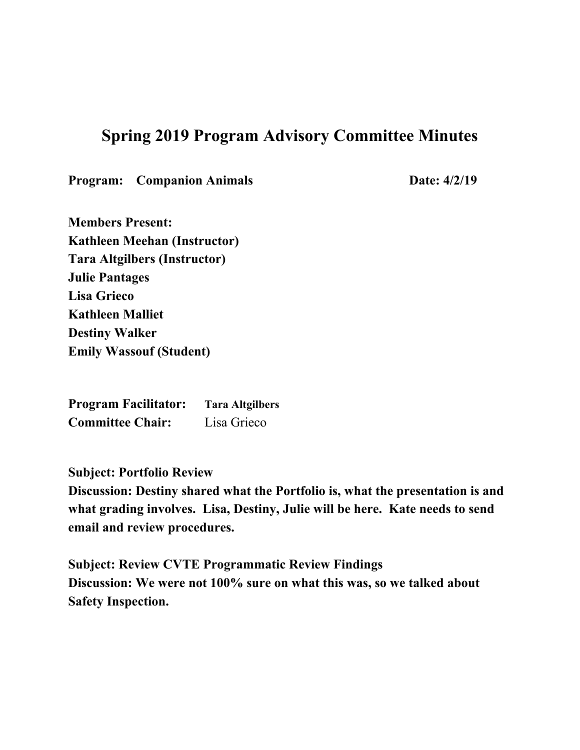## **Spring 2019 Program Advisory Committee Minutes**

**Program:** Companion Animals **Date:** 4/2/19

**Members Present: Kathleen Meehan (Instructor) Tara Altgilbers (Instructor) Julie Pantages Lisa Grieco Kathleen Malliet Destiny Walker Emily Wassouf (Student)**

**Program Facilitator: Tara Altgilbers Committee Chair:** Lisa Grieco

**Subject: Portfolio Review**

**Discussion: Destiny shared what the Portfolio is, what the presentation is and what grading involves. Lisa, Destiny, Julie will be here. Kate needs to send email and review procedures.**

**Subject: Review CVTE Programmatic Review Findings Discussion: We were not 100% sure on what this was, so we talked about Safety Inspection.**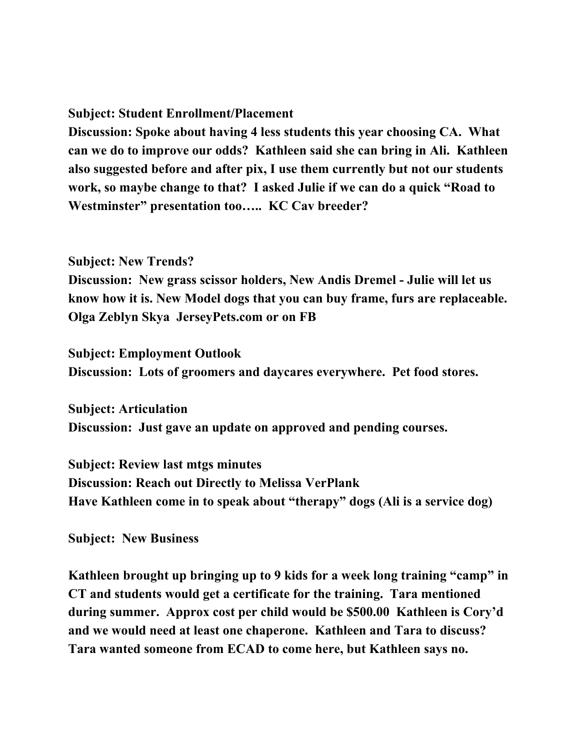## **Subject: Student Enrollment/Placement**

**Discussion: Spoke about having 4 less students this year choosing CA. What can we do to improve our odds? Kathleen said she can bring in Ali. Kathleen also suggested before and after pix, I use them currently but not our students work, so maybe change to that? I asked Julie if we can do a quick "Road to Westminster" presentation too….. KC Cav breeder?**

## **Subject: New Trends?**

**Discussion: New grass scissor holders, New Andis Dremel - Julie will let us know how it is. New Model dogs that you can buy frame, furs are replaceable. Olga Zeblyn Skya JerseyPets.com or on FB**

**Subject: Employment Outlook Discussion: Lots of groomers and daycares everywhere. Pet food stores.**

**Subject: Articulation Discussion: Just gave an update on approved and pending courses.**

**Subject: Review last mtgs minutes Discussion: Reach out Directly to Melissa VerPlank Have Kathleen come in to speak about "therapy" dogs (Ali is a service dog)**

**Subject: New Business**

**Kathleen brought up bringing up to 9 kids for a week long training "camp" in CT and students would get a certificate for the training. Tara mentioned during summer. Approx cost per child would be \$500.00 Kathleen is Cory'd and we would need at least one chaperone. Kathleen and Tara to discuss? Tara wanted someone from ECAD to come here, but Kathleen says no.**